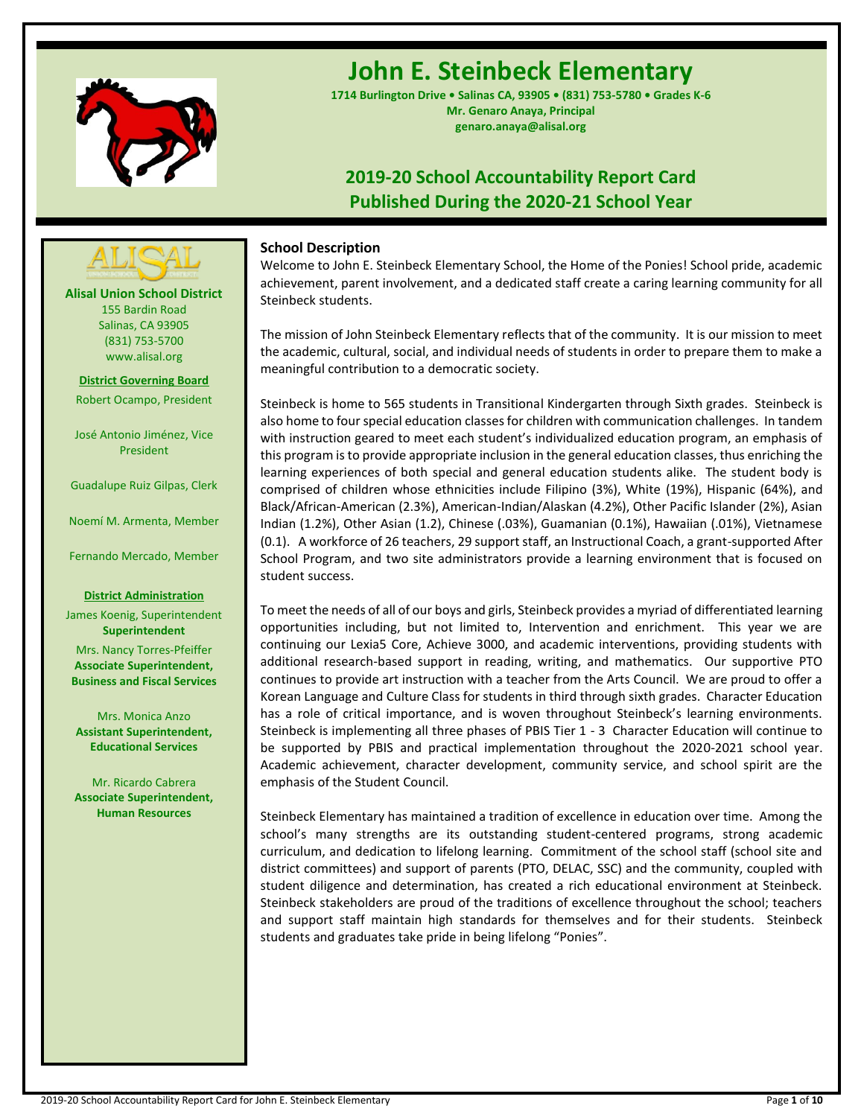

# **John E. Steinbeck Elementary**

**1714 Burlington Drive • Salinas CA, 93905 • (831) 753-5780 • Grades K-6 Mr. Genaro Anaya, Principal genaro.anaya@alisal.org**

# **2019-20 School Accountability Report Card Published During the 2020-21 School Year**



Welcome to John E. Steinbeck Elementary School, the Home of the Ponies! School pride, academic achievement, parent involvement, and a dedicated staff create a caring learning community for all Steinbeck students.

The mission of John Steinbeck Elementary reflects that of the community. It is our mission to meet the academic, cultural, social, and individual needs of students in order to prepare them to make a meaningful contribution to a democratic society.

Steinbeck is home to 565 students in Transitional Kindergarten through Sixth grades. Steinbeck is also home to four special education classes for children with communication challenges. In tandem with instruction geared to meet each student's individualized education program, an emphasis of this program is to provide appropriate inclusion in the general education classes, thus enriching the learning experiences of both special and general education students alike. The student body is comprised of children whose ethnicities include Filipino (3%), White (19%), Hispanic (64%), and Black/African-American (2.3%), American-Indian/Alaskan (4.2%), Other Pacific Islander (2%), Asian Indian (1.2%), Other Asian (1.2), Chinese (.03%), Guamanian (0.1%), Hawaiian (.01%), Vietnamese (0.1). A workforce of 26 teachers, 29 support staff, an Instructional Coach, a grant-supported After School Program, and two site administrators provide a learning environment that is focused on student success.

To meet the needs of all of our boys and girls, Steinbeck provides a myriad of differentiated learning opportunities including, but not limited to, Intervention and enrichment. This year we are continuing our Lexia5 Core, Achieve 3000, and academic interventions, providing students with additional research-based support in reading, writing, and mathematics. Our supportive PTO continues to provide art instruction with a teacher from the Arts Council. We are proud to offer a Korean Language and Culture Class for students in third through sixth grades. Character Education has a role of critical importance, and is woven throughout Steinbeck's learning environments. Steinbeck is implementing all three phases of PBIS Tier 1 - 3 Character Education will continue to be supported by PBIS and practical implementation throughout the 2020-2021 school year. Academic achievement, character development, community service, and school spirit are the emphasis of the Student Council.

Steinbeck Elementary has maintained a tradition of excellence in education over time. Among the school's many strengths are its outstanding student-centered programs, strong academic curriculum, and dedication to lifelong learning. Commitment of the school staff (school site and district committees) and support of parents (PTO, DELAC, SSC) and the community, coupled with student diligence and determination, has created a rich educational environment at Steinbeck. Steinbeck stakeholders are proud of the traditions of excellence throughout the school; teachers and support staff maintain high standards for themselves and for their students. Steinbeck students and graduates take pride in being lifelong "Ponies".

**Alisal Union School District** 155 Bardin Road Salinas, CA 93905 (831) 753-5700 www.alisal.org

**---- ----**

**District Governing Board** Robert Ocampo, President

José Antonio Jiménez, Vice President

Guadalupe Ruiz Gilpas, Clerk

Noemí M. Armenta, Member

Fernando Mercado, Member

### **District Administration**

James Koenig, Superintendent **Superintendent** Mrs. Nancy Torres-Pfeiffer **Associate Superintendent, Business and Fiscal Services**

Mrs. Monica Anzo **Assistant Superintendent, Educational Services**

Mr. Ricardo Cabrera **Associate Superintendent, Human Resources**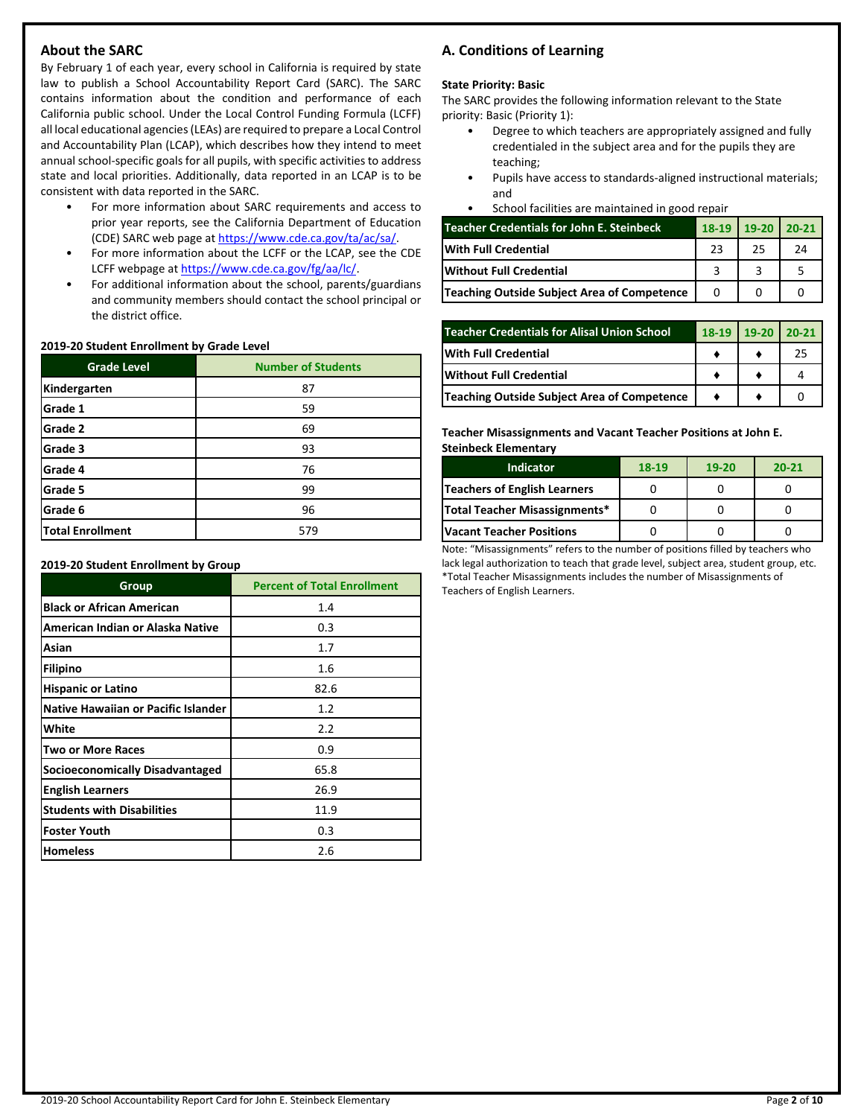# **About the SARC**

By February 1 of each year, every school in California is required by state law to publish a School Accountability Report Card (SARC). The SARC contains information about the condition and performance of each California public school. Under the Local Control Funding Formula (LCFF) all local educational agencies (LEAs) are required to prepare a Local Control and Accountability Plan (LCAP), which describes how they intend to meet annual school-specific goals for all pupils, with specific activities to address state and local priorities. Additionally, data reported in an LCAP is to be consistent with data reported in the SARC.

- For more information about SARC requirements and access to prior year reports, see the California Department of Education (CDE) SARC web page at [https://www.cde.ca.gov/ta/ac/sa/.](https://www.cde.ca.gov/ta/ac/sa/)
- For more information about the LCFF or the LCAP, see the CDE LCFF webpage a[t https://www.cde.ca.gov/fg/aa/lc/.](https://www.cde.ca.gov/fg/aa/lc/)
- For additional information about the school, parents/guardians and community members should contact the school principal or the district office.

### **2019-20 Student Enrollment by Grade Level**

| <b>Grade Level</b>      | <b>Number of Students</b> |
|-------------------------|---------------------------|
| Kindergarten            | 87                        |
| Grade 1                 | 59                        |
| Grade 2                 | 69                        |
| Grade 3                 | 93                        |
| Grade 4                 | 76                        |
| Grade 5                 | 99                        |
| Grade 6                 | 96                        |
| <b>Total Enrollment</b> | 579                       |

### **2019-20 Student Enrollment by Group**

| Group                               | <b>Percent of Total Enrollment</b> |
|-------------------------------------|------------------------------------|
| <b>Black or African American</b>    | 1.4                                |
| American Indian or Alaska Native    | 0.3                                |
| Asian                               | 1.7                                |
| Filipino                            | 1.6                                |
| <b>Hispanic or Latino</b>           | 82.6                               |
| Native Hawaiian or Pacific Islander | 1.2                                |
| White                               | 2.2                                |
| <b>Two or More Races</b>            | 0.9                                |
| Socioeconomically Disadvantaged     | 65.8                               |
| <b>English Learners</b>             | 26.9                               |
| <b>Students with Disabilities</b>   | 11.9                               |
| <b>Foster Youth</b>                 | 0.3                                |
| <b>Homeless</b>                     | 2.6                                |

# **A. Conditions of Learning**

## **State Priority: Basic**

The SARC provides the following information relevant to the State priority: Basic (Priority 1):

- Degree to which teachers are appropriately assigned and fully credentialed in the subject area and for the pupils they are teaching;
- Pupils have access to standards-aligned instructional materials; and
- School facilities are maintained in good repair

| Teacher Credentials for John E. Steinbeck   |    | 18-19 19-20 20-21 |    |
|---------------------------------------------|----|-------------------|----|
| <b>IWith Full Credential</b>                | 23 | 25                | 24 |
| <b>Without Full Credential</b>              |    |                   |    |
| Teaching Outside Subject Area of Competence |    |                   |    |

| <b>Teacher Credentials for Alisal Union School</b> | 18-19 19-20 | $20-21$ |
|----------------------------------------------------|-------------|---------|
| With Full Credential                               |             | 25      |
| Without Full Credential                            |             |         |
| Teaching Outside Subject Area of Competence        |             |         |

**Teacher Misassignments and Vacant Teacher Positions at John E. Steinbeck Elementary**

| <b>Indicator</b>                | 18-19 | $19-20$ | $20 - 21$ |
|---------------------------------|-------|---------|-----------|
| Teachers of English Learners    |       |         |           |
| Total Teacher Misassignments*   |       |         |           |
| <b>Vacant Teacher Positions</b> |       |         |           |

Note: "Misassignments" refers to the number of positions filled by teachers who lack legal authorization to teach that grade level, subject area, student group, etc. \*Total Teacher Misassignments includes the number of Misassignments of Teachers of English Learners.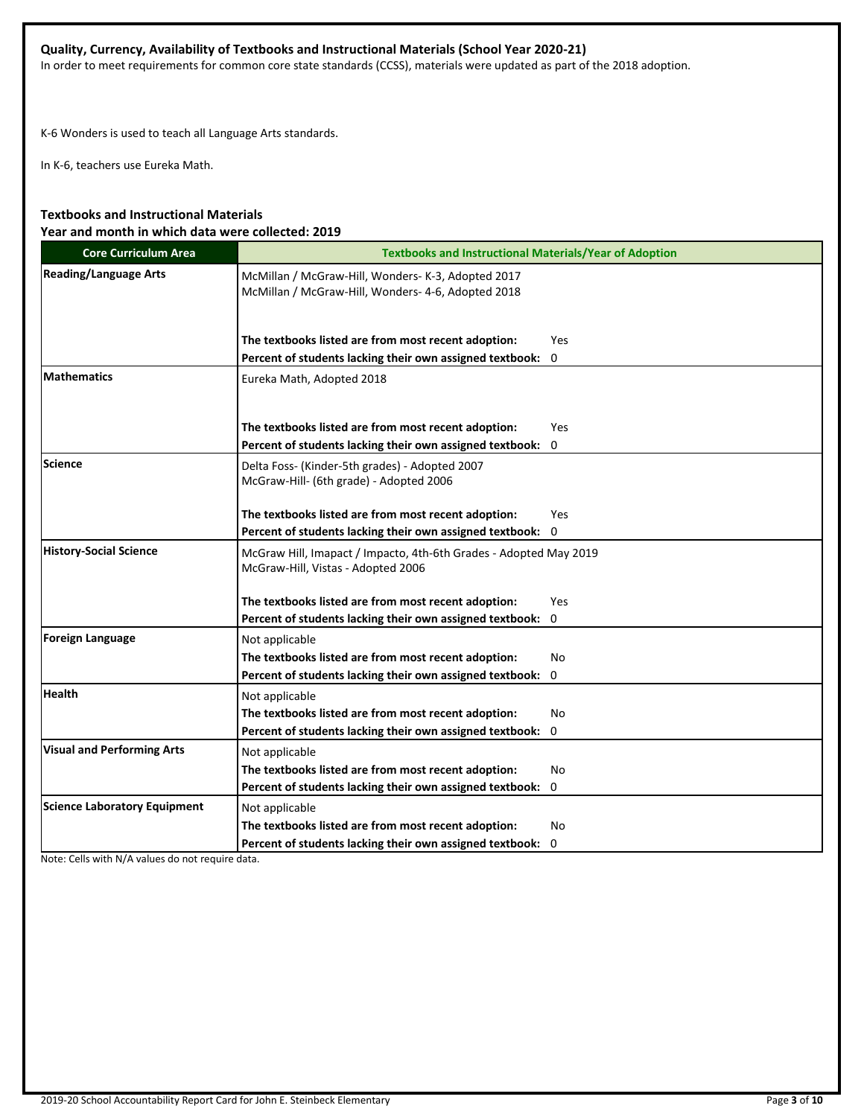# **Quality, Currency, Availability of Textbooks and Instructional Materials (School Year 2020-21)**

In order to meet requirements for common core state standards (CCSS), materials were updated as part of the 2018 adoption.

K-6 Wonders is used to teach all Language Arts standards.

In K-6, teachers use Eureka Math.

# **Textbooks and Instructional Materials Year and month in which data were collected: 2019**

| <b>Core Curriculum Area</b>         | <b>Textbooks and Instructional Materials/Year of Adoption</b>                                            |             |  |  |  |
|-------------------------------------|----------------------------------------------------------------------------------------------------------|-------------|--|--|--|
| <b>Reading/Language Arts</b>        | McMillan / McGraw-Hill, Wonders- K-3, Adopted 2017<br>McMillan / McGraw-Hill, Wonders- 4-6, Adopted 2018 |             |  |  |  |
|                                     | The textbooks listed are from most recent adoption:                                                      | <b>Yes</b>  |  |  |  |
|                                     | Percent of students lacking their own assigned textbook:                                                 | $\mathbf 0$ |  |  |  |
| <b>Mathematics</b>                  | Eureka Math, Adopted 2018                                                                                |             |  |  |  |
|                                     | The textbooks listed are from most recent adoption:                                                      | <b>Yes</b>  |  |  |  |
|                                     | Percent of students lacking their own assigned textbook:                                                 | 0           |  |  |  |
| <b>Science</b>                      | Delta Foss- (Kinder-5th grades) - Adopted 2007<br>McGraw-Hill- (6th grade) - Adopted 2006                |             |  |  |  |
|                                     | The textbooks listed are from most recent adoption:                                                      | Yes         |  |  |  |
|                                     | Percent of students lacking their own assigned textbook:                                                 | 0           |  |  |  |
| <b>History-Social Science</b>       | McGraw Hill, Imapact / Impacto, 4th-6th Grades - Adopted May 2019<br>McGraw-Hill, Vistas - Adopted 2006  |             |  |  |  |
|                                     | The textbooks listed are from most recent adoption:                                                      | <b>Yes</b>  |  |  |  |
|                                     | Percent of students lacking their own assigned textbook:                                                 | 0           |  |  |  |
| <b>Foreign Language</b>             | Not applicable                                                                                           |             |  |  |  |
|                                     | The textbooks listed are from most recent adoption:                                                      | No          |  |  |  |
|                                     | Percent of students lacking their own assigned textbook:                                                 | 0           |  |  |  |
| <b>Health</b>                       | Not applicable                                                                                           |             |  |  |  |
|                                     | The textbooks listed are from most recent adoption:                                                      | <b>No</b>   |  |  |  |
|                                     | Percent of students lacking their own assigned textbook:                                                 | 0           |  |  |  |
| <b>Visual and Performing Arts</b>   | Not applicable                                                                                           |             |  |  |  |
|                                     | The textbooks listed are from most recent adoption:                                                      | No.         |  |  |  |
|                                     | Percent of students lacking their own assigned textbook:                                                 | 0           |  |  |  |
| <b>Science Laboratory Equipment</b> | Not applicable                                                                                           |             |  |  |  |
|                                     | The textbooks listed are from most recent adoption:                                                      | No          |  |  |  |
|                                     | Percent of students lacking their own assigned textbook:                                                 | 0           |  |  |  |

Note: Cells with N/A values do not require data.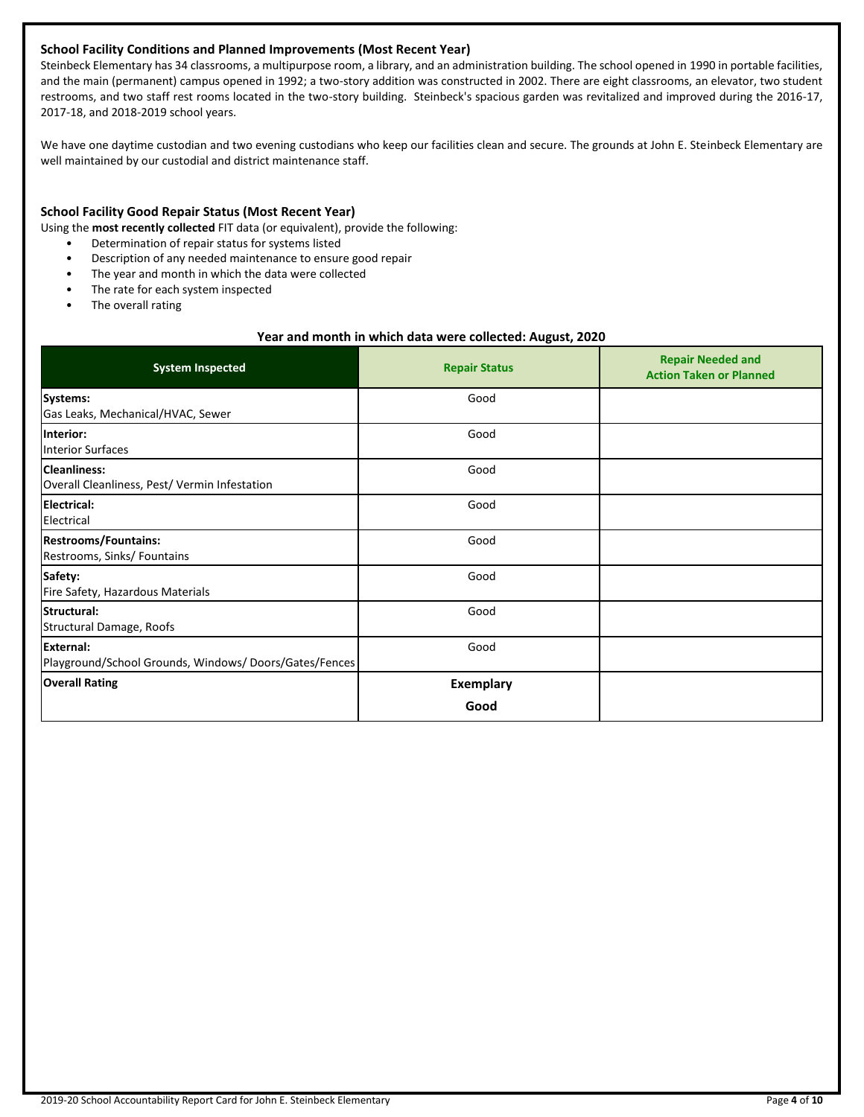### **School Facility Conditions and Planned Improvements (Most Recent Year)**

Steinbeck Elementary has 34 classrooms, a multipurpose room, a library, and an administration building. The school opened in 1990 in portable facilities, and the main (permanent) campus opened in 1992; a two-story addition was constructed in 2002. There are eight classrooms, an elevator, two student restrooms, and two staff rest rooms located in the two-story building. Steinbeck's spacious garden was revitalized and improved during the 2016-17, 2017-18, and 2018-2019 school years.

We have one daytime custodian and two evening custodians who keep our facilities clean and secure. The grounds at John E. Steinbeck Elementary are well maintained by our custodial and district maintenance staff.

### **School Facility Good Repair Status (Most Recent Year)**

- Using the **most recently collected** FIT data (or equivalent), provide the following:
	- Determination of repair status for systems listed
	- Description of any needed maintenance to ensure good repair
	- The year and month in which the data were collected
	- The rate for each system inspected
	- The overall rating

### **Year and month in which data were collected: August, 2020**

| <b>System Inspected</b>                                              | <b>Repair Status</b> | <b>Repair Needed and</b><br><b>Action Taken or Planned</b> |
|----------------------------------------------------------------------|----------------------|------------------------------------------------------------|
| Systems:<br>Gas Leaks, Mechanical/HVAC, Sewer                        | Good                 |                                                            |
| Interior:<br><b>Interior Surfaces</b>                                | Good                 |                                                            |
| <b>Cleanliness:</b><br>Overall Cleanliness, Pest/ Vermin Infestation | Good                 |                                                            |
| Electrical:<br>Electrical                                            | Good                 |                                                            |
| <b>Restrooms/Fountains:</b><br>Restrooms, Sinks/ Fountains           | Good                 |                                                            |
| Safety:<br>Fire Safety, Hazardous Materials                          | Good                 |                                                            |
| Structural:<br>Structural Damage, Roofs                              | Good                 |                                                            |
| External:<br>Playground/School Grounds, Windows/Doors/Gates/Fences   | Good                 |                                                            |
| <b>Overall Rating</b>                                                | <b>Exemplary</b>     |                                                            |
|                                                                      | Good                 |                                                            |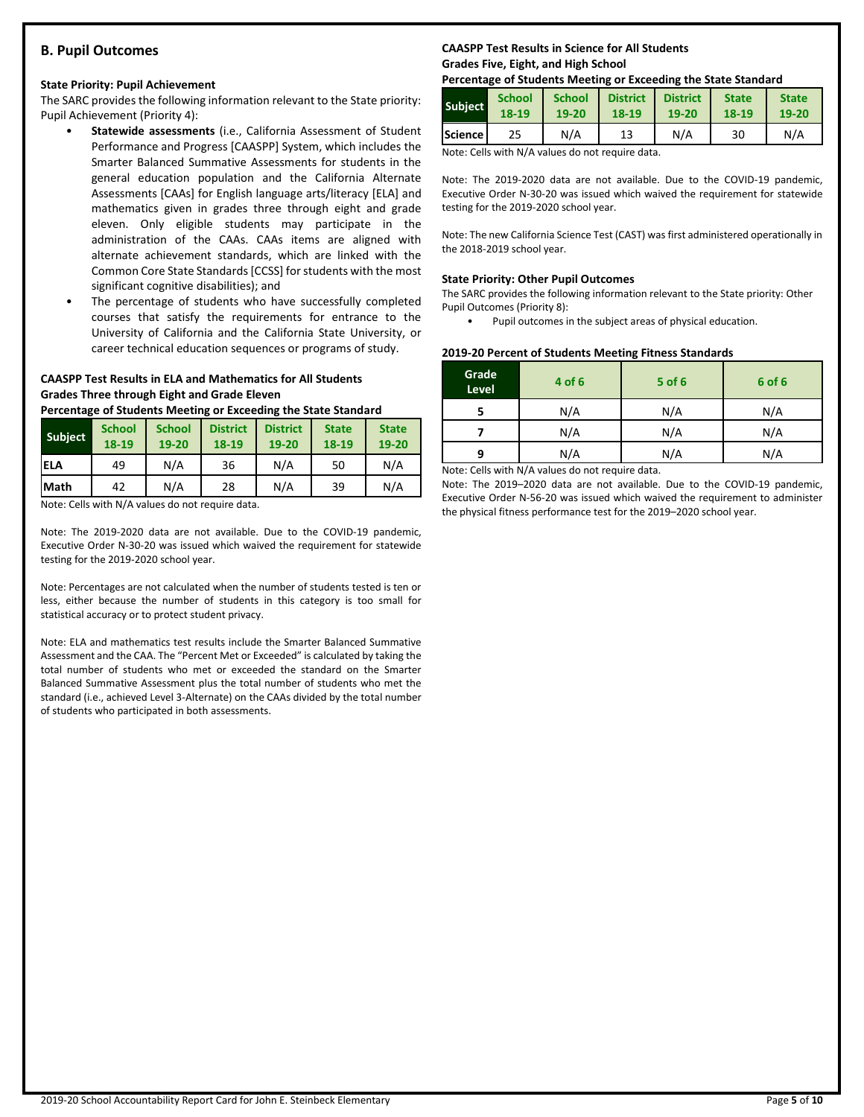## **B. Pupil Outcomes**

### **State Priority: Pupil Achievement**

The SARC provides the following information relevant to the State priority: Pupil Achievement (Priority 4):

- **Statewide assessments** (i.e., California Assessment of Student Performance and Progress [CAASPP] System, which includes the Smarter Balanced Summative Assessments for students in the general education population and the California Alternate Assessments [CAAs] for English language arts/literacy [ELA] and mathematics given in grades three through eight and grade eleven. Only eligible students may participate in the administration of the CAAs. CAAs items are aligned with alternate achievement standards, which are linked with the Common Core State Standards [CCSS] for students with the most significant cognitive disabilities); and
- The percentage of students who have successfully completed courses that satisfy the requirements for entrance to the University of California and the California State University, or career technical education sequences or programs of study.

### **CAASPP Test Results in ELA and Mathematics for All Students Grades Three through Eight and Grade Eleven**

**Percentage of Students Meeting or Exceeding the State Standard**

| <b>Subject</b> | <b>School</b><br>18-19 | <b>School</b><br>19-20 | <b>District</b><br>18-19 | <b>District</b><br>19-20 | <b>State</b><br>18-19 | <b>State</b><br>19-20 |
|----------------|------------------------|------------------------|--------------------------|--------------------------|-----------------------|-----------------------|
| <b>IELA</b>    | 49                     | N/A                    | 36                       | N/A                      | 50                    | N/A                   |
| <b>Math</b>    | 42                     | N/A                    | 28                       | N/A                      | 39                    | N/A                   |

Note: Cells with N/A values do not require data.

Note: The 2019-2020 data are not available. Due to the COVID-19 pandemic, Executive Order N-30-20 was issued which waived the requirement for statewide testing for the 2019-2020 school year.

Note: Percentages are not calculated when the number of students tested is ten or less, either because the number of students in this category is too small for statistical accuracy or to protect student privacy.

Note: ELA and mathematics test results include the Smarter Balanced Summative Assessment and the CAA. The "Percent Met or Exceeded" is calculated by taking the total number of students who met or exceeded the standard on the Smarter Balanced Summative Assessment plus the total number of students who met the standard (i.e., achieved Level 3-Alternate) on the CAAs divided by the total number of students who participated in both assessments.

### **CAASPP Test Results in Science for All Students Grades Five, Eight, and High School**

#### **Percentage of Students Meeting or Exceeding the State Standard**

| <b>Subject</b>   | <b>School</b> | <b>School</b> | <b>District</b> | <b>District</b> | <b>State</b> | <b>State</b> |
|------------------|---------------|---------------|-----------------|-----------------|--------------|--------------|
|                  | 18-19         | 19-20         | 18-19           | 19-20           | 18-19        | 19-20        |
| <b>Science</b> l | 25            | N/A           | 13              | N/A             | 30           | N/A          |

Note: Cells with N/A values do not require data.

Note: The 2019-2020 data are not available. Due to the COVID-19 pandemic, Executive Order N-30-20 was issued which waived the requirement for statewide testing for the 2019-2020 school year.

Note: The new California Science Test (CAST) was first administered operationally in the 2018-2019 school year.

#### **State Priority: Other Pupil Outcomes**

The SARC provides the following information relevant to the State priority: Other Pupil Outcomes (Priority 8):

• Pupil outcomes in the subject areas of physical education.

#### **2019-20 Percent of Students Meeting Fitness Standards**

| Grade<br>Level | 4 of 6                                                                                                                                                                                                                                                                | $5$ of $6$ | 6 of 6 |
|----------------|-----------------------------------------------------------------------------------------------------------------------------------------------------------------------------------------------------------------------------------------------------------------------|------------|--------|
|                | N/A                                                                                                                                                                                                                                                                   | N/A        | N/A    |
|                | N/A                                                                                                                                                                                                                                                                   | N/A        | N/A    |
| q              | N/A<br>N/A                                                                                                                                                                                                                                                            |            | N/A    |
|                | $\mathbf{A}$ is a set of $\mathbf{A}$ in the set of $\mathbf{A}$ and is a set of set of $\mathbf{A}$ is a set of $\mathbf{A}$ is a set of $\mathbf{A}$ is a set of $\mathbf{A}$ is a set of $\mathbf{A}$ is a set of $\mathbf{A}$ is a set of $\mathbf{A}$ is a set o |            |        |

Note: Cells with N/A values do not require data.

Note: The 2019–2020 data are not available. Due to the COVID-19 pandemic, Executive Order N-56-20 was issued which waived the requirement to administer the physical fitness performance test for the 2019–2020 school year.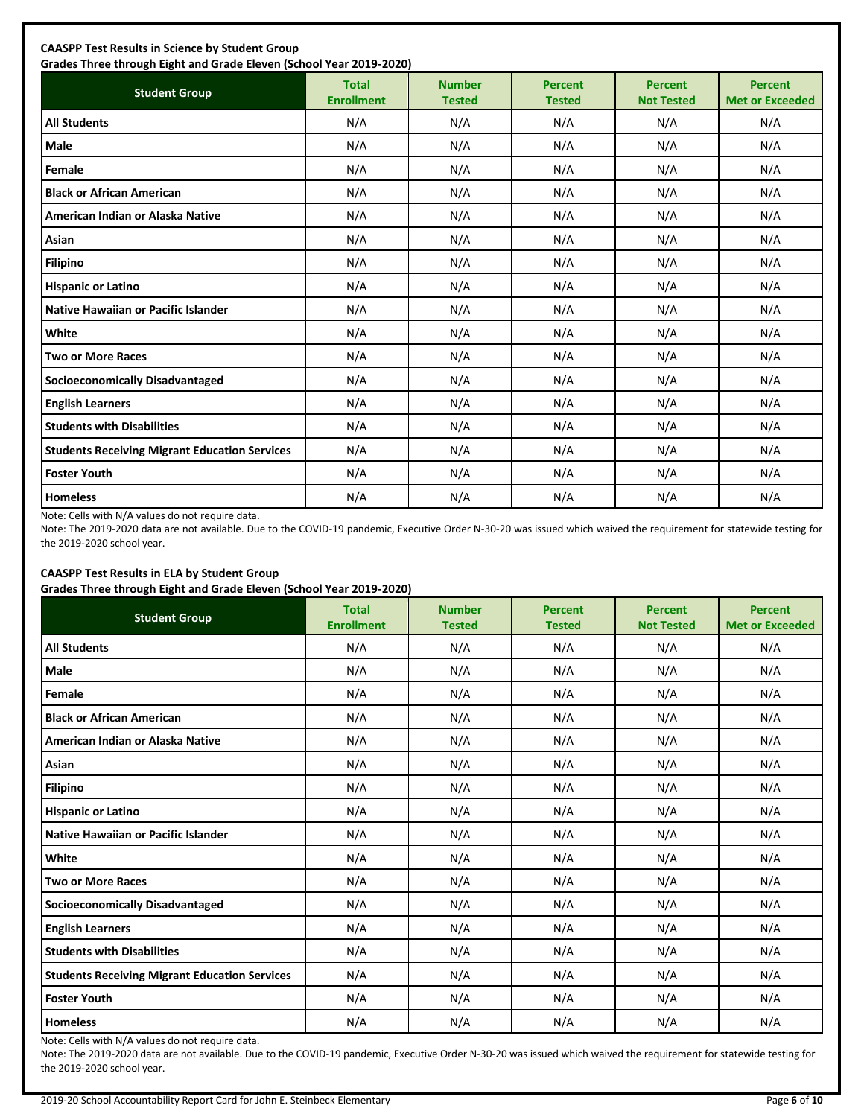| <b>Student Group</b>                                 | <b>Total</b><br><b>Enrollment</b> | <b>Number</b><br><b>Tested</b> | <b>Percent</b><br><b>Tested</b> | <b>Percent</b><br><b>Not Tested</b> | <b>Percent</b><br><b>Met or Exceeded</b> |
|------------------------------------------------------|-----------------------------------|--------------------------------|---------------------------------|-------------------------------------|------------------------------------------|
| <b>All Students</b>                                  | N/A                               | N/A                            | N/A                             | N/A                                 | N/A                                      |
| Male                                                 | N/A                               | N/A                            | N/A                             | N/A                                 | N/A                                      |
| Female                                               | N/A                               | N/A                            | N/A                             | N/A                                 | N/A                                      |
| <b>Black or African American</b>                     | N/A                               | N/A                            | N/A                             | N/A                                 | N/A                                      |
| American Indian or Alaska Native                     | N/A                               | N/A                            | N/A                             | N/A                                 | N/A                                      |
| Asian                                                | N/A                               | N/A                            | N/A                             | N/A                                 | N/A                                      |
| <b>Filipino</b>                                      | N/A                               | N/A                            | N/A                             | N/A                                 | N/A                                      |
| <b>Hispanic or Latino</b>                            | N/A                               | N/A                            | N/A                             | N/A                                 | N/A                                      |
| Native Hawaiian or Pacific Islander                  | N/A                               | N/A                            | N/A                             | N/A                                 | N/A                                      |
| White                                                | N/A                               | N/A                            | N/A                             | N/A                                 | N/A                                      |
| <b>Two or More Races</b>                             | N/A                               | N/A                            | N/A                             | N/A                                 | N/A                                      |
| <b>Socioeconomically Disadvantaged</b>               | N/A                               | N/A                            | N/A                             | N/A                                 | N/A                                      |
| <b>English Learners</b>                              | N/A                               | N/A                            | N/A                             | N/A                                 | N/A                                      |
| <b>Students with Disabilities</b>                    | N/A                               | N/A                            | N/A                             | N/A                                 | N/A                                      |
| <b>Students Receiving Migrant Education Services</b> | N/A                               | N/A                            | N/A                             | N/A                                 | N/A                                      |
| <b>Foster Youth</b>                                  | N/A                               | N/A                            | N/A                             | N/A                                 | N/A                                      |
| <b>Homeless</b>                                      | N/A                               | N/A                            | N/A                             | N/A                                 | N/A                                      |

Note: Cells with N/A values do not require data.

Note: The 2019-2020 data are not available. Due to the COVID-19 pandemic, Executive Order N-30-20 was issued which waived the requirement for statewide testing for the 2019-2020 school year.

# **CAASPP Test Results in ELA by Student Group**

**Grades Three through Eight and Grade Eleven (School Year 2019-2020)**

| <b>Student Group</b>                                 | <b>Total</b><br><b>Enrollment</b> | <b>Number</b><br><b>Tested</b> | <b>Percent</b><br><b>Tested</b> | <b>Percent</b><br><b>Not Tested</b> | <b>Percent</b><br><b>Met or Exceeded</b> |
|------------------------------------------------------|-----------------------------------|--------------------------------|---------------------------------|-------------------------------------|------------------------------------------|
| <b>All Students</b>                                  | N/A                               | N/A                            | N/A                             | N/A                                 | N/A                                      |
| Male                                                 | N/A                               | N/A                            | N/A                             | N/A                                 | N/A                                      |
| Female                                               | N/A                               | N/A                            | N/A                             | N/A                                 | N/A                                      |
| <b>Black or African American</b>                     | N/A                               | N/A                            | N/A                             | N/A                                 | N/A                                      |
| American Indian or Alaska Native                     | N/A                               | N/A                            | N/A                             | N/A                                 | N/A                                      |
| Asian                                                | N/A                               | N/A                            | N/A                             | N/A                                 | N/A                                      |
| <b>Filipino</b>                                      | N/A                               | N/A                            | N/A                             | N/A                                 | N/A                                      |
| <b>Hispanic or Latino</b>                            | N/A                               | N/A                            | N/A                             | N/A                                 | N/A                                      |
| Native Hawaiian or Pacific Islander                  | N/A                               | N/A                            | N/A                             | N/A                                 | N/A                                      |
| White                                                | N/A                               | N/A                            | N/A                             | N/A                                 | N/A                                      |
| <b>Two or More Races</b>                             | N/A                               | N/A                            | N/A                             | N/A                                 | N/A                                      |
| <b>Socioeconomically Disadvantaged</b>               | N/A                               | N/A                            | N/A                             | N/A                                 | N/A                                      |
| <b>English Learners</b>                              | N/A                               | N/A                            | N/A                             | N/A                                 | N/A                                      |
| <b>Students with Disabilities</b>                    | N/A                               | N/A                            | N/A                             | N/A                                 | N/A                                      |
| <b>Students Receiving Migrant Education Services</b> | N/A                               | N/A                            | N/A                             | N/A                                 | N/A                                      |
| <b>Foster Youth</b>                                  | N/A                               | N/A                            | N/A                             | N/A                                 | N/A                                      |
| <b>Homeless</b>                                      | N/A                               | N/A                            | N/A                             | N/A                                 | N/A                                      |

Note: Cells with N/A values do not require data.

Note: The 2019-2020 data are not available. Due to the COVID-19 pandemic, Executive Order N-30-20 was issued which waived the requirement for statewide testing for the 2019-2020 school year.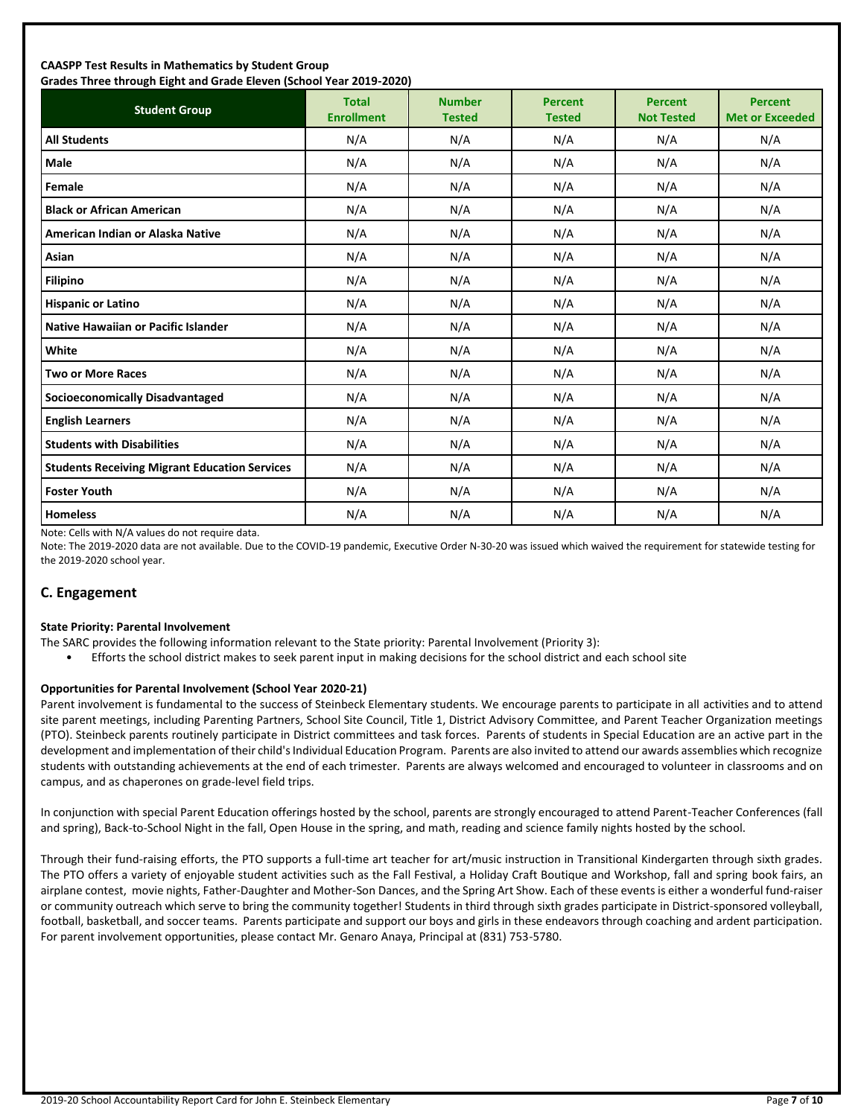### **CAASPP Test Results in Mathematics by Student Group Grades Three through Eight and Grade Eleven (School Year 2019-2020)**

| andes mice anoggii agna and ardue actem penoor redi 2015 2020;<br><b>Student Group</b> | <b>Total</b><br><b>Enrollment</b> | <b>Number</b><br><b>Tested</b> | <b>Percent</b><br><b>Tested</b> | <b>Percent</b><br><b>Not Tested</b> | <b>Percent</b><br><b>Met or Exceeded</b> |
|----------------------------------------------------------------------------------------|-----------------------------------|--------------------------------|---------------------------------|-------------------------------------|------------------------------------------|
| <b>All Students</b>                                                                    | N/A                               | N/A                            | N/A                             | N/A                                 | N/A                                      |
| <b>Male</b>                                                                            | N/A                               | N/A                            | N/A                             | N/A                                 | N/A                                      |
| Female                                                                                 | N/A                               | N/A                            | N/A                             | N/A                                 | N/A                                      |
| <b>Black or African American</b>                                                       | N/A                               | N/A                            | N/A                             | N/A                                 | N/A                                      |
| American Indian or Alaska Native                                                       | N/A                               | N/A                            | N/A                             | N/A                                 | N/A                                      |
| Asian                                                                                  | N/A                               | N/A                            | N/A                             | N/A                                 | N/A                                      |
| <b>Filipino</b>                                                                        | N/A                               | N/A                            | N/A                             | N/A                                 | N/A                                      |
| <b>Hispanic or Latino</b>                                                              | N/A                               | N/A                            | N/A                             | N/A                                 | N/A                                      |
| <b>Native Hawaiian or Pacific Islander</b>                                             | N/A                               | N/A                            | N/A                             | N/A                                 | N/A                                      |
| White                                                                                  | N/A                               | N/A                            | N/A                             | N/A                                 | N/A                                      |
| <b>Two or More Races</b>                                                               | N/A                               | N/A                            | N/A                             | N/A                                 | N/A                                      |
| <b>Socioeconomically Disadvantaged</b>                                                 | N/A                               | N/A                            | N/A                             | N/A                                 | N/A                                      |
| <b>English Learners</b>                                                                | N/A                               | N/A                            | N/A                             | N/A                                 | N/A                                      |
| <b>Students with Disabilities</b>                                                      | N/A                               | N/A                            | N/A                             | N/A                                 | N/A                                      |
| <b>Students Receiving Migrant Education Services</b>                                   | N/A                               | N/A                            | N/A                             | N/A                                 | N/A                                      |
| <b>Foster Youth</b>                                                                    | N/A                               | N/A                            | N/A                             | N/A                                 | N/A                                      |
| <b>Homeless</b>                                                                        | N/A                               | N/A                            | N/A                             | N/A                                 | N/A                                      |

Note: Cells with N/A values do not require data.

Note: The 2019-2020 data are not available. Due to the COVID-19 pandemic, Executive Order N-30-20 was issued which waived the requirement for statewide testing for the 2019-2020 school year.

## **C. Engagement**

### **State Priority: Parental Involvement**

- The SARC provides the following information relevant to the State priority: Parental Involvement (Priority 3):
	- Efforts the school district makes to seek parent input in making decisions for the school district and each school site

### **Opportunities for Parental Involvement (School Year 2020-21)**

Parent involvement is fundamental to the success of Steinbeck Elementary students. We encourage parents to participate in all activities and to attend site parent meetings, including Parenting Partners, School Site Council, Title 1, District Advisory Committee, and Parent Teacher Organization meetings (PTO). Steinbeck parents routinely participate in District committees and task forces. Parents of students in Special Education are an active part in the development and implementation of their child's Individual Education Program. Parents are also invited to attend our awards assemblies which recognize students with outstanding achievements at the end of each trimester. Parents are always welcomed and encouraged to volunteer in classrooms and on campus, and as chaperones on grade-level field trips.

In conjunction with special Parent Education offerings hosted by the school, parents are strongly encouraged to attend Parent-Teacher Conferences (fall and spring), Back-to-School Night in the fall, Open House in the spring, and math, reading and science family nights hosted by the school.

Through their fund-raising efforts, the PTO supports a full-time art teacher for art/music instruction in Transitional Kindergarten through sixth grades. The PTO offers a variety of enjoyable student activities such as the Fall Festival, a Holiday Craft Boutique and Workshop, fall and spring book fairs, an airplane contest, movie nights, Father-Daughter and Mother-Son Dances, and the Spring Art Show. Each of these events is either a wonderful fund-raiser or community outreach which serve to bring the community together! Students in third through sixth grades participate in District-sponsored volleyball, football, basketball, and soccer teams. Parents participate and support our boys and girls in these endeavors through coaching and ardent participation. For parent involvement opportunities, please contact Mr. Genaro Anaya, Principal at (831) 753-5780.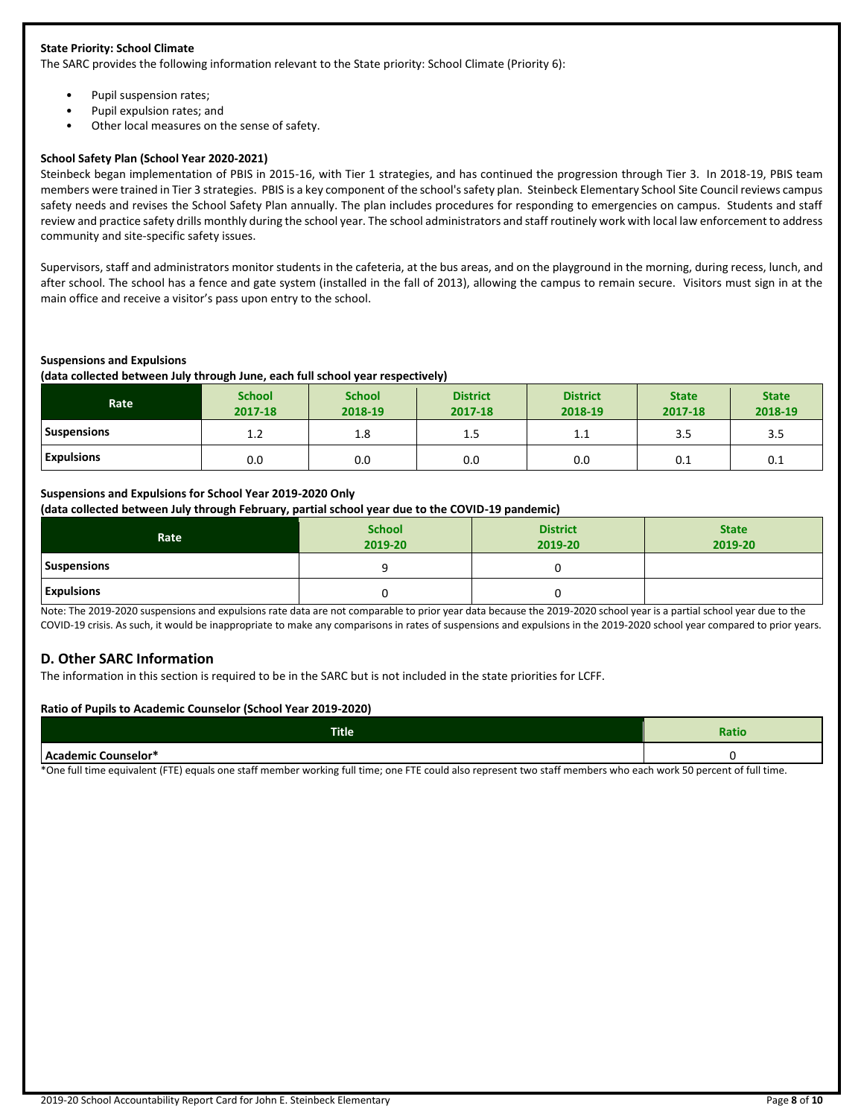### **State Priority: School Climate**

The SARC provides the following information relevant to the State priority: School Climate (Priority 6):

- Pupil suspension rates;
- Pupil expulsion rates; and
- Other local measures on the sense of safety.

### **School Safety Plan (School Year 2020-2021)**

Steinbeck began implementation of PBIS in 2015-16, with Tier 1 strategies, and has continued the progression through Tier 3. In 2018-19, PBIS team members were trained in Tier 3 strategies. PBIS is a key component of the school's safety plan. Steinbeck Elementary School Site Council reviews campus safety needs and revises the School Safety Plan annually. The plan includes procedures for responding to emergencies on campus. Students and staff review and practice safety drills monthly during the school year. The school administrators and staff routinely work with local law enforcement to address community and site-specific safety issues.

Supervisors, staff and administrators monitor students in the cafeteria, at the bus areas, and on the playground in the morning, during recess, lunch, and after school. The school has a fence and gate system (installed in the fall of 2013), allowing the campus to remain secure. Visitors must sign in at the main office and receive a visitor's pass upon entry to the school.

### **Suspensions and Expulsions**

**(data collected between July through June, each full school year respectively)**

| Rate               | <b>School</b><br>2017-18 | <b>School</b><br>2018-19 | <b>District</b><br>2017-18 | <b>District</b><br>2018-19 | <b>State</b><br>2017-18 | <b>State</b><br>2018-19 |
|--------------------|--------------------------|--------------------------|----------------------------|----------------------------|-------------------------|-------------------------|
| <b>Suspensions</b> | 1.2                      | 1.8                      | $1.5\,$                    | 1.1                        | 3.5                     | 3.5                     |
| <b>Expulsions</b>  | 0.0                      | 0.0                      | 0.0                        | 0.0                        | 0.1                     | 0.1                     |

### **Suspensions and Expulsions for School Year 2019-2020 Only**

**(data collected between July through February, partial school year due to the COVID-19 pandemic)**

| Rate               | <b>School</b><br>2019-20 | <b>District</b><br>2019-20 | <b>State</b><br>2019-20 |
|--------------------|--------------------------|----------------------------|-------------------------|
| <b>Suspensions</b> |                          |                            |                         |
| <b>Expulsions</b>  |                          |                            |                         |

Note: The 2019-2020 suspensions and expulsions rate data are not comparable to prior year data because the 2019-2020 school year is a partial school year due to the COVID-19 crisis. As such, it would be inappropriate to make any comparisons in rates of suspensions and expulsions in the 2019-2020 school year compared to prior years.

## **D. Other SARC Information**

The information in this section is required to be in the SARC but is not included in the state priorities for LCFF.

### **Ratio of Pupils to Academic Counselor (School Year 2019-2020)**

| <b>Title</b> | т.<br>. valitu |
|--------------|----------------|
| Counselor*   |                |

\*One full time equivalent (FTE) equals one staff member working full time; one FTE could also represent two staff members who each work 50 percent of full time.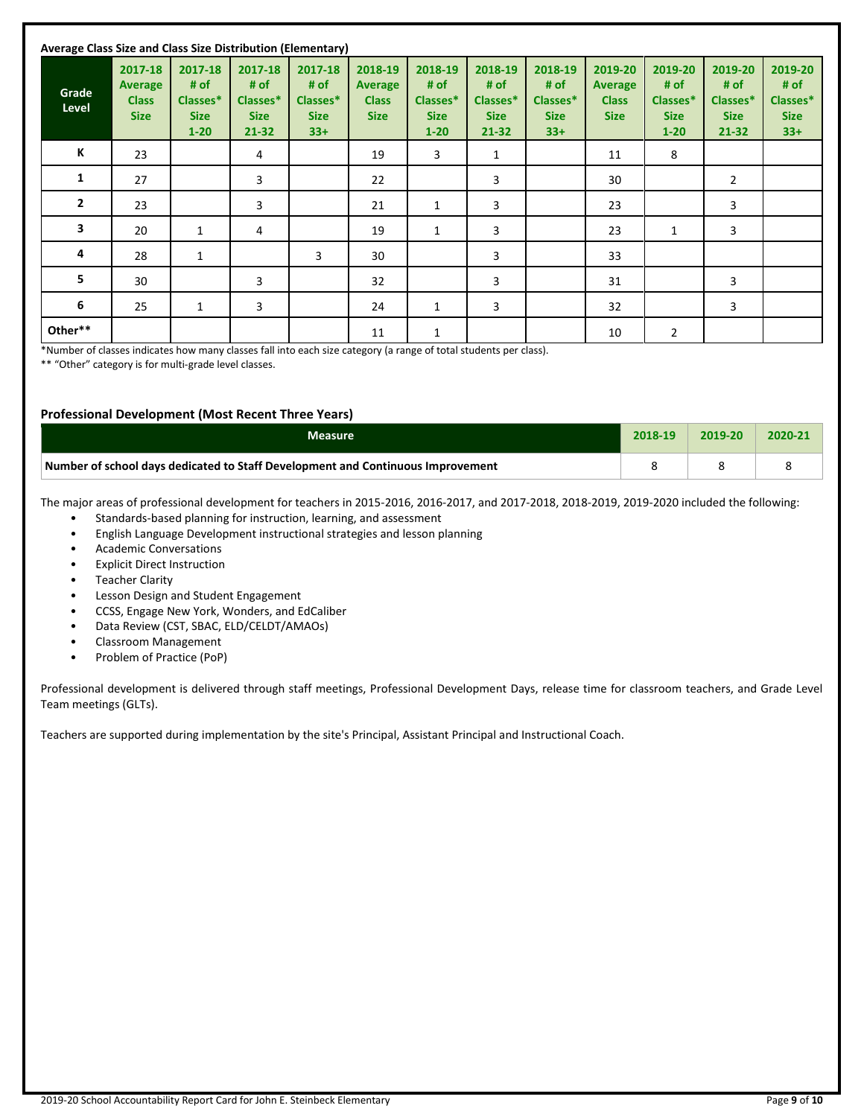| Average Class Size and Class Size Distribution (Elementary) |                                                   |                                                        |                                                         |                                                     |                                                          |                                                        |                                                         |                                                     |                                                          |                                                        |                                                         |                                                     |
|-------------------------------------------------------------|---------------------------------------------------|--------------------------------------------------------|---------------------------------------------------------|-----------------------------------------------------|----------------------------------------------------------|--------------------------------------------------------|---------------------------------------------------------|-----------------------------------------------------|----------------------------------------------------------|--------------------------------------------------------|---------------------------------------------------------|-----------------------------------------------------|
| Grade<br>Level                                              | 2017-18<br>Average<br><b>Class</b><br><b>Size</b> | 2017-18<br># of<br>Classes*<br><b>Size</b><br>$1 - 20$ | 2017-18<br># of<br>Classes*<br><b>Size</b><br>$21 - 32$ | 2017-18<br># of<br>Classes*<br><b>Size</b><br>$33+$ | 2018-19<br><b>Average</b><br><b>Class</b><br><b>Size</b> | 2018-19<br># of<br>Classes*<br><b>Size</b><br>$1 - 20$ | 2018-19<br># of<br>Classes*<br><b>Size</b><br>$21 - 32$ | 2018-19<br># of<br>Classes*<br><b>Size</b><br>$33+$ | 2019-20<br><b>Average</b><br><b>Class</b><br><b>Size</b> | 2019-20<br># of<br>Classes*<br><b>Size</b><br>$1 - 20$ | 2019-20<br># of<br>Classes*<br><b>Size</b><br>$21 - 32$ | 2019-20<br># of<br>Classes*<br><b>Size</b><br>$33+$ |
| К                                                           | 23                                                |                                                        | 4                                                       |                                                     | 19                                                       | 3                                                      | 1                                                       |                                                     | 11                                                       | 8                                                      |                                                         |                                                     |
| 1                                                           | 27                                                |                                                        | 3                                                       |                                                     | 22                                                       |                                                        | 3                                                       |                                                     | 30                                                       |                                                        | $\overline{2}$                                          |                                                     |
| $\overline{2}$                                              | 23                                                |                                                        | 3                                                       |                                                     | 21                                                       | $\mathbf{1}$                                           | 3                                                       |                                                     | 23                                                       |                                                        | 3                                                       |                                                     |
| 3                                                           | 20                                                | $\mathbf{1}$                                           | 4                                                       |                                                     | 19                                                       | $\mathbf{1}$                                           | 3                                                       |                                                     | 23                                                       | 1                                                      | 3                                                       |                                                     |
| 4                                                           | 28                                                | $\mathbf{1}$                                           |                                                         | 3                                                   | 30                                                       |                                                        | 3                                                       |                                                     | 33                                                       |                                                        |                                                         |                                                     |
| 5                                                           | 30                                                |                                                        | 3                                                       |                                                     | 32                                                       |                                                        | 3                                                       |                                                     | 31                                                       |                                                        | 3                                                       |                                                     |
| 6                                                           | 25                                                | 1                                                      | 3                                                       |                                                     | 24                                                       | 1                                                      | 3                                                       |                                                     | 32                                                       |                                                        | 3                                                       |                                                     |
| Other**                                                     |                                                   |                                                        |                                                         |                                                     | 11                                                       | 1                                                      |                                                         |                                                     | 10                                                       | 2                                                      |                                                         |                                                     |

\*Number of classes indicates how many classes fall into each size category (a range of total students per class).

\*\* "Other" category is for multi-grade level classes.

### **Professional Development (Most Recent Three Years)**

| Measure                                                                         | 2018-19 | 2019-20 | 2020-21 |
|---------------------------------------------------------------------------------|---------|---------|---------|
| Number of school days dedicated to Staff Development and Continuous Improvement |         |         |         |

The major areas of professional development for teachers in 2015-2016, 2016-2017, and 2017-2018, 2018-2019, 2019-2020 included the following:

- Standards-based planning for instruction, learning, and assessment
- English Language Development instructional strategies and lesson planning
- Academic Conversations
- **Explicit Direct Instruction**
- Teacher Clarity
- Lesson Design and Student Engagement
- CCSS, Engage New York, Wonders, and EdCaliber
- Data Review (CST, SBAC, ELD/CELDT/AMAOs)
- Classroom Management
- Problem of Practice (PoP)

Professional development is delivered through staff meetings, Professional Development Days, release time for classroom teachers, and Grade Level Team meetings (GLTs).

Teachers are supported during implementation by the site's Principal, Assistant Principal and Instructional Coach.